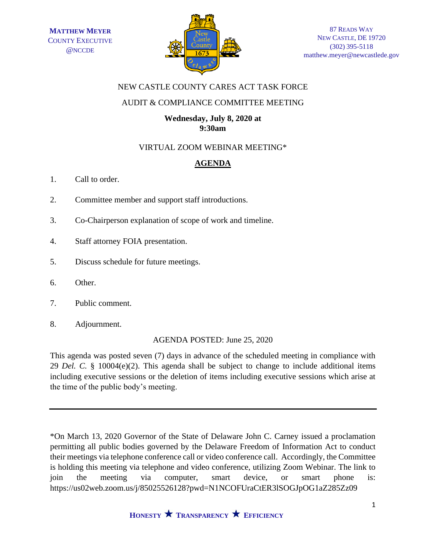

## NEW CASTLE COUNTY CARES ACT TASK FORCE

## AUDIT & COMPLIANCE COMMITTEE MEETING

#### **Wednesday, July 8, 2020 at 9:30am**

# VIRTUAL ZOOM WEBINAR MEETING\*

# **AGENDA**

- 1. Call to order.
- 2. Committee member and support staff introductions.
- 3. Co-Chairperson explanation of scope of work and timeline.
- 4. Staff attorney FOIA presentation.
- 5. Discuss schedule for future meetings.
- 6. Other.
- 7. Public comment.
- 8. Adjournment.

#### AGENDA POSTED: June 25, 2020

This agenda was posted seven (7) days in advance of the scheduled meeting in compliance with 29 *Del. C.* § 10004(e)(2). This agenda shall be subject to change to include additional items including executive sessions or the deletion of items including executive sessions which arise at the time of the public body's meeting.

\*On March 13, 2020 Governor of the State of Delaware John C. Carney issued a proclamation permitting all public bodies governed by the Delaware Freedom of Information Act to conduct their meetings via telephone conference call or video conference call. Accordingly, the Committee is holding this meeting via telephone and video conference, utilizing Zoom Webinar. The link to join the meeting via computer, smart device, or smart phone is: https://us02web.zoom.us/j/85025526128?pwd=N1NCOFUraCtER3lSOGJpOG1aZ285Zz09